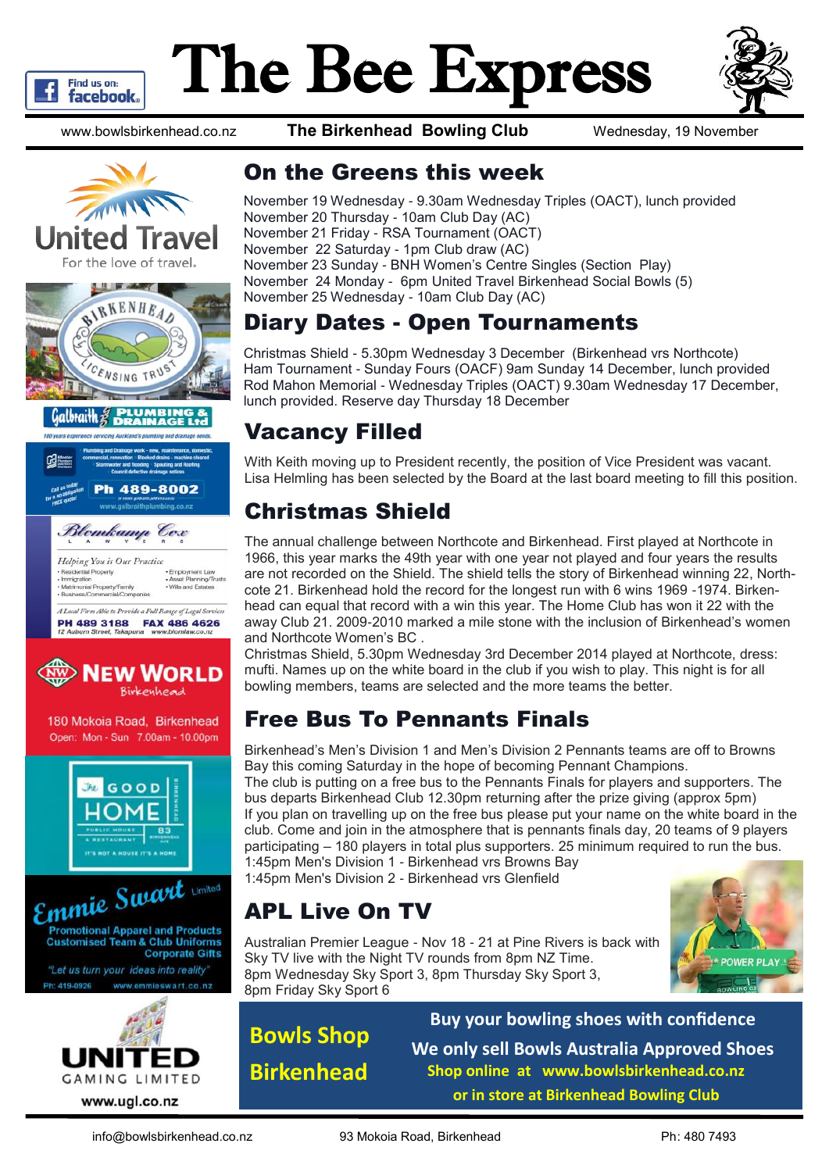

# The Bee Express



www.bowlsbirkenhead.co.nz **The Birkenhead Bowling Club** Wednesday, 19 November











180 Mokoia Road, Birkenhead Open: Mon - Sun 7.00am - 10.00pm







### On the Greens this week

November 19 Wednesday - 9.30am Wednesday Triples (OACT), lunch provided November 20 Thursday - 10am Club Day (AC) November 21 Friday - RSA Tournament (OACT) November 22 Saturday - 1pm Club draw (AC) November 23 Sunday - BNH Women's Centre Singles (Section Play) November 24 Monday - 6pm United Travel Birkenhead Social Bowls (5) November 25 Wednesday - 10am Club Day (AC)

# Diary Dates - Open Tournaments

Christmas Shield - 5.30pm Wednesday 3 December (Birkenhead vrs Northcote) Ham Tournament - Sunday Fours (OACF) 9am Sunday 14 December, lunch provided Rod Mahon Memorial - Wednesday Triples (OACT) 9.30am Wednesday 17 December, lunch provided. Reserve day Thursday 18 December

# Vacancy Filled

With Keith moving up to President recently, the position of Vice President was vacant. Lisa Helmling has been selected by the Board at the last board meeting to fill this position.

# Christmas Shield

The annual challenge between Northcote and Birkenhead. First played at Northcote in 1966, this year marks the 49th year with one year not played and four years the results are not recorded on the Shield. The shield tells the story of Birkenhead winning 22, Northcote 21. Birkenhead hold the record for the longest run with 6 wins 1969 -1974. Birkenhead can equal that record with a win this year. The Home Club has won it 22 with the away Club 21. 2009-2010 marked a mile stone with the inclusion of Birkenhead's women and Northcote Women's BC .

Christmas Shield, 5.30pm Wednesday 3rd December 2014 played at Northcote, dress: mufti. Names up on the white board in the club if you wish to play. This night is for all bowling members, teams are selected and the more teams the better.

# Free Bus To Pennants Finals

Birkenhead's Men's Division 1 and Men's Division 2 Pennants teams are off to Browns Bay this coming Saturday in the hope of becoming Pennant Champions.

The club is putting on a free bus to the Pennants Finals for players and supporters. The bus departs Birkenhead Club 12.30pm returning after the prize giving (approx 5pm) If you plan on travelling up on the free bus please put your name on the white board in the club. Come and join in the atmosphere that is pennants finals day, 20 teams of 9 players participating – 180 players in total plus supporters. 25 minimum required to run the bus. 1:45pm Men's Division 1 - Birkenhead vrs Browns Bay

1:45pm Men's Division 2 - Birkenhead vrs Glenfield

# APL Live On TV

Australian Premier League - Nov 18 - 21 at Pine Rivers is back with Sky TV live with the Night TV rounds from 8pm NZ Time. 8pm Wednesday Sky Sport 3, 8pm Thursday Sky Sport 3, 8pm Friday Sky Sport 6



**Bowls Shop Birkenhead**

**Buy your bowling shoes with confidence We only sell Bowls Australia Approved Shoes Shop online at www.bowlsbirkenhead.co.nz or in store at Birkenhead Bowling Club**